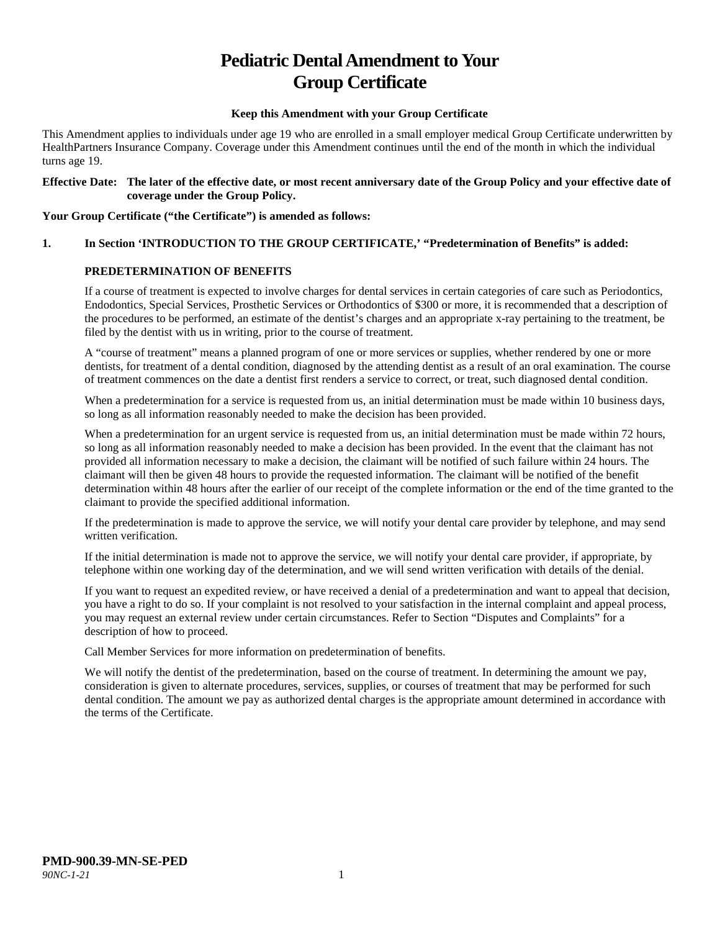# **Pediatric Dental Amendment to Your Group Certificate**

#### **Keep this Amendment with your Group Certificate**

This Amendment applies to individuals under age 19 who are enrolled in a small employer medical Group Certificate underwritten by HealthPartners Insurance Company. Coverage under this Amendment continues until the end of the month in which the individual turns age 19.

#### **Effective Date: The later of the effective date, or most recent anniversary date of the Group Policy and your effective date of coverage under the Group Policy.**

#### **Your Group Certificate ("the Certificate") is amended as follows:**

# **1. In Section 'INTRODUCTION TO THE GROUP CERTIFICATE,' "Predetermination of Benefits" is added:**

## **PREDETERMINATION OF BENEFITS**

If a course of treatment is expected to involve charges for dental services in certain categories of care such as Periodontics, Endodontics, Special Services, Prosthetic Services or Orthodontics of \$300 or more, it is recommended that a description of the procedures to be performed, an estimate of the dentist's charges and an appropriate x-ray pertaining to the treatment, be filed by the dentist with us in writing, prior to the course of treatment.

A "course of treatment" means a planned program of one or more services or supplies, whether rendered by one or more dentists, for treatment of a dental condition, diagnosed by the attending dentist as a result of an oral examination. The course of treatment commences on the date a dentist first renders a service to correct, or treat, such diagnosed dental condition.

When a predetermination for a service is requested from us, an initial determination must be made within 10 business days, so long as all information reasonably needed to make the decision has been provided.

When a predetermination for an urgent service is requested from us, an initial determination must be made within 72 hours, so long as all information reasonably needed to make a decision has been provided. In the event that the claimant has not provided all information necessary to make a decision, the claimant will be notified of such failure within 24 hours. The claimant will then be given 48 hours to provide the requested information. The claimant will be notified of the benefit determination within 48 hours after the earlier of our receipt of the complete information or the end of the time granted to the claimant to provide the specified additional information.

If the predetermination is made to approve the service, we will notify your dental care provider by telephone, and may send written verification.

If the initial determination is made not to approve the service, we will notify your dental care provider, if appropriate, by telephone within one working day of the determination, and we will send written verification with details of the denial.

If you want to request an expedited review, or have received a denial of a predetermination and want to appeal that decision, you have a right to do so. If your complaint is not resolved to your satisfaction in the internal complaint and appeal process, you may request an external review under certain circumstances. Refer to Section "Disputes and Complaints" for a description of how to proceed.

Call Member Services for more information on predetermination of benefits.

We will notify the dentist of the predetermination, based on the course of treatment. In determining the amount we pay, consideration is given to alternate procedures, services, supplies, or courses of treatment that may be performed for such dental condition. The amount we pay as authorized dental charges is the appropriate amount determined in accordance with the terms of the Certificate.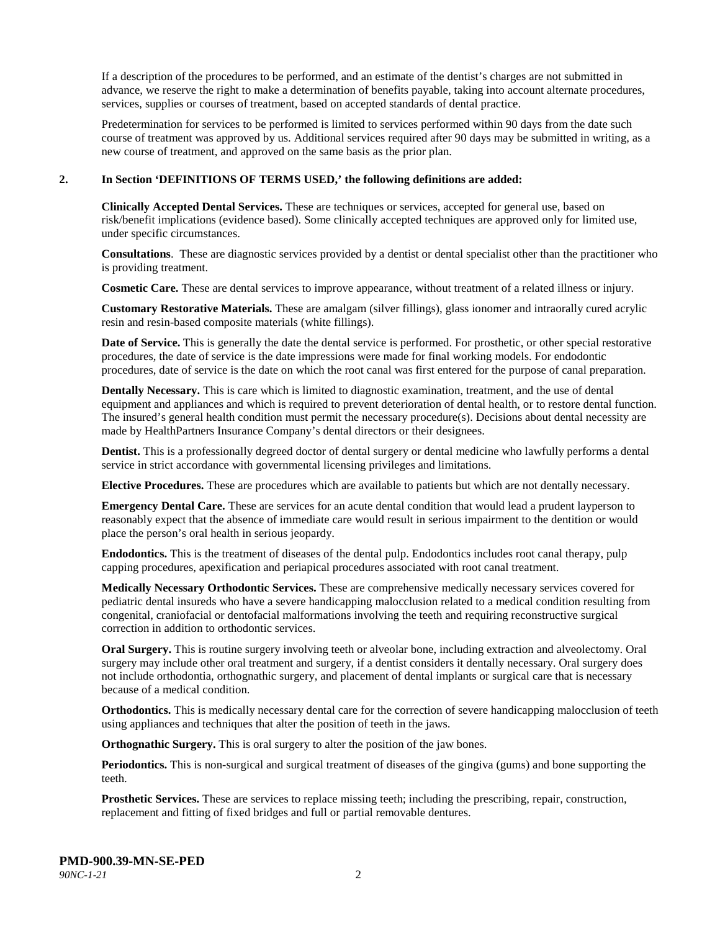If a description of the procedures to be performed, and an estimate of the dentist's charges are not submitted in advance, we reserve the right to make a determination of benefits payable, taking into account alternate procedures, services, supplies or courses of treatment, based on accepted standards of dental practice.

Predetermination for services to be performed is limited to services performed within 90 days from the date such course of treatment was approved by us. Additional services required after 90 days may be submitted in writing, as a new course of treatment, and approved on the same basis as the prior plan.

#### **2. In Section 'DEFINITIONS OF TERMS USED,' the following definitions are added:**

**Clinically Accepted Dental Services.** These are techniques or services, accepted for general use, based on risk/benefit implications (evidence based). Some clinically accepted techniques are approved only for limited use, under specific circumstances.

**Consultations**. These are diagnostic services provided by a dentist or dental specialist other than the practitioner who is providing treatment.

**Cosmetic Care.** These are dental services to improve appearance, without treatment of a related illness or injury.

**Customary Restorative Materials.** These are amalgam (silver fillings), glass ionomer and intraorally cured acrylic resin and resin-based composite materials (white fillings).

**Date of Service.** This is generally the date the dental service is performed. For prosthetic, or other special restorative procedures, the date of service is the date impressions were made for final working models. For endodontic procedures, date of service is the date on which the root canal was first entered for the purpose of canal preparation.

**Dentally Necessary.** This is care which is limited to diagnostic examination, treatment, and the use of dental equipment and appliances and which is required to prevent deterioration of dental health, or to restore dental function. The insured's general health condition must permit the necessary procedure(s). Decisions about dental necessity are made by HealthPartners Insurance Company's dental directors or their designees.

**Dentist.** This is a professionally degreed doctor of dental surgery or dental medicine who lawfully performs a dental service in strict accordance with governmental licensing privileges and limitations.

**Elective Procedures.** These are procedures which are available to patients but which are not dentally necessary.

**Emergency Dental Care.** These are services for an acute dental condition that would lead a prudent layperson to reasonably expect that the absence of immediate care would result in serious impairment to the dentition or would place the person's oral health in serious jeopardy.

**Endodontics.** This is the treatment of diseases of the dental pulp. Endodontics includes root canal therapy, pulp capping procedures, apexification and periapical procedures associated with root canal treatment.

**Medically Necessary Orthodontic Services.** These are comprehensive medically necessary services covered for pediatric dental insureds who have a severe handicapping malocclusion related to a medical condition resulting from congenital, craniofacial or dentofacial malformations involving the teeth and requiring reconstructive surgical correction in addition to orthodontic services.

**Oral Surgery.** This is routine surgery involving teeth or alveolar bone, including extraction and alveolectomy. Oral surgery may include other oral treatment and surgery, if a dentist considers it dentally necessary. Oral surgery does not include orthodontia, orthognathic surgery, and placement of dental implants or surgical care that is necessary because of a medical condition.

**Orthodontics.** This is medically necessary dental care for the correction of severe handicapping malocclusion of teeth using appliances and techniques that alter the position of teeth in the jaws.

**Orthognathic Surgery.** This is oral surgery to alter the position of the jaw bones.

**Periodontics.** This is non-surgical and surgical treatment of diseases of the gingiva (gums) and bone supporting the teeth.

**Prosthetic Services.** These are services to replace missing teeth; including the prescribing, repair, construction, replacement and fitting of fixed bridges and full or partial removable dentures.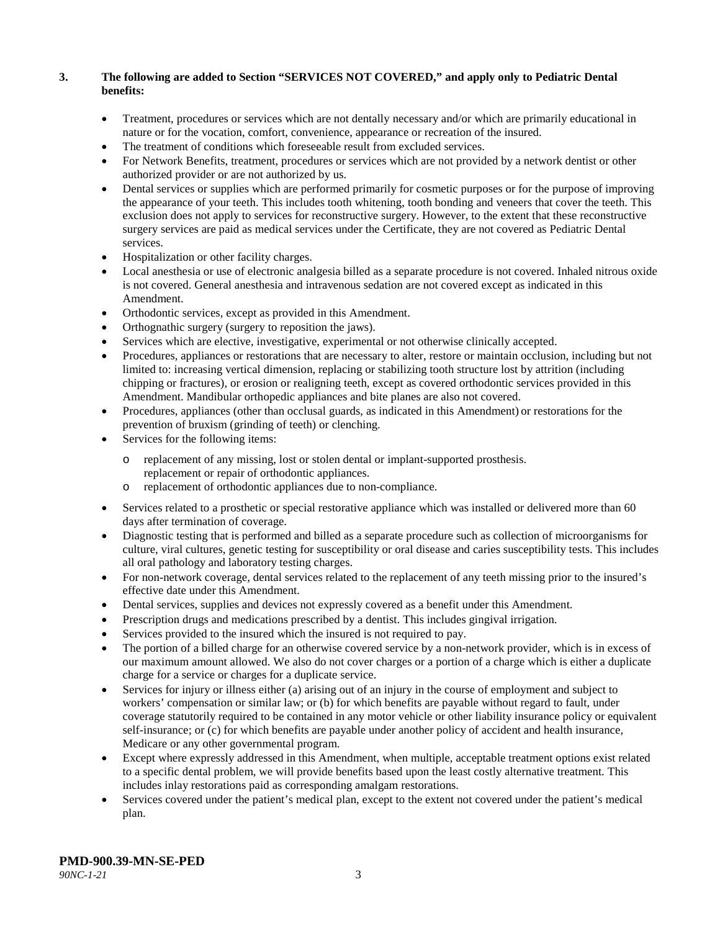## **3. The following are added to Section "SERVICES NOT COVERED," and apply only to Pediatric Dental benefits:**

- Treatment, procedures or services which are not dentally necessary and/or which are primarily educational in nature or for the vocation, comfort, convenience, appearance or recreation of the insured.
- The treatment of conditions which foreseeable result from excluded services.
- For Network Benefits, treatment, procedures or services which are not provided by a network dentist or other authorized provider or are not authorized by us.
- Dental services or supplies which are performed primarily for cosmetic purposes or for the purpose of improving the appearance of your teeth. This includes tooth whitening, tooth bonding and veneers that cover the teeth. This exclusion does not apply to services for reconstructive surgery. However, to the extent that these reconstructive surgery services are paid as medical services under the Certificate, they are not covered as Pediatric Dental services.
- Hospitalization or other facility charges.
- Local anesthesia or use of electronic analgesia billed as a separate procedure is not covered. Inhaled nitrous oxide is not covered. General anesthesia and intravenous sedation are not covered except as indicated in this Amendment.
- Orthodontic services, except as provided in this Amendment.
- Orthognathic surgery (surgery to reposition the jaws).
- Services which are elective, investigative, experimental or not otherwise clinically accepted.
- Procedures, appliances or restorations that are necessary to alter, restore or maintain occlusion, including but not limited to: increasing vertical dimension, replacing or stabilizing tooth structure lost by attrition (including chipping or fractures), or erosion or realigning teeth, except as covered orthodontic services provided in this Amendment. Mandibular orthopedic appliances and bite planes are also not covered.
- Procedures, appliances (other than occlusal guards, as indicated in this Amendment) or restorations for the prevention of bruxism (grinding of teeth) or clenching.
- Services for the following items:
	- o replacement of any missing, lost or stolen dental or implant-supported prosthesis. replacement or repair of orthodontic appliances.
	- o replacement of orthodontic appliances due to non-compliance.
- Services related to a prosthetic or special restorative appliance which was installed or delivered more than 60 days after termination of coverage.
- Diagnostic testing that is performed and billed as a separate procedure such as collection of microorganisms for culture, viral cultures, genetic testing for susceptibility or oral disease and caries susceptibility tests. This includes all oral pathology and laboratory testing charges.
- For non-network coverage, dental services related to the replacement of any teeth missing prior to the insured's effective date under this Amendment.
- Dental services, supplies and devices not expressly covered as a benefit under this Amendment.
- Prescription drugs and medications prescribed by a dentist. This includes gingival irrigation.
- Services provided to the insured which the insured is not required to pay.
- The portion of a billed charge for an otherwise covered service by a non-network provider, which is in excess of our maximum amount allowed. We also do not cover charges or a portion of a charge which is either a duplicate charge for a service or charges for a duplicate service.
- Services for injury or illness either (a) arising out of an injury in the course of employment and subject to workers' compensation or similar law; or (b) for which benefits are payable without regard to fault, under coverage statutorily required to be contained in any motor vehicle or other liability insurance policy or equivalent self-insurance; or (c) for which benefits are payable under another policy of accident and health insurance, Medicare or any other governmental program.
- Except where expressly addressed in this Amendment, when multiple, acceptable treatment options exist related to a specific dental problem, we will provide benefits based upon the least costly alternative treatment. This includes inlay restorations paid as corresponding amalgam restorations.
- Services covered under the patient's medical plan, except to the extent not covered under the patient's medical plan.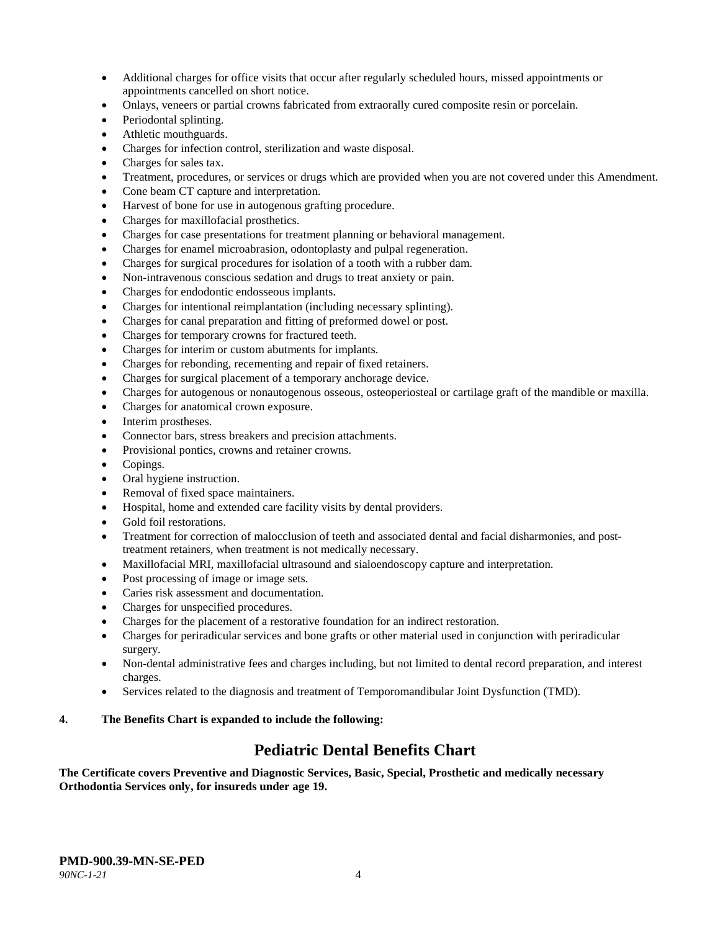- Additional charges for office visits that occur after regularly scheduled hours, missed appointments or appointments cancelled on short notice.
- Onlays, veneers or partial crowns fabricated from extraorally cured composite resin or porcelain.
- Periodontal splinting.
- Athletic mouthguards.
- Charges for infection control, sterilization and waste disposal.
- Charges for sales tax.
- Treatment, procedures, or services or drugs which are provided when you are not covered under this Amendment.
- Cone beam CT capture and interpretation.
- Harvest of bone for use in autogenous grafting procedure.
- Charges for maxillofacial prosthetics.
- Charges for case presentations for treatment planning or behavioral management.
- Charges for enamel microabrasion, odontoplasty and pulpal regeneration.
- Charges for surgical procedures for isolation of a tooth with a rubber dam.
- Non-intravenous conscious sedation and drugs to treat anxiety or pain.
- Charges for endodontic endosseous implants.
- Charges for intentional reimplantation (including necessary splinting).
- Charges for canal preparation and fitting of preformed dowel or post.
- Charges for temporary crowns for fractured teeth.
- Charges for interim or custom abutments for implants.
- Charges for rebonding, recementing and repair of fixed retainers.
- Charges for surgical placement of a temporary anchorage device.
- Charges for autogenous or nonautogenous osseous, osteoperiosteal or cartilage graft of the mandible or maxilla.
- Charges for anatomical crown exposure.
- Interim prostheses.
- Connector bars, stress breakers and precision attachments.
- Provisional pontics, crowns and retainer crowns.
- Copings.
- Oral hygiene instruction.
- Removal of fixed space maintainers.
- Hospital, home and extended care facility visits by dental providers.
- Gold foil restorations.
- Treatment for correction of malocclusion of teeth and associated dental and facial disharmonies, and posttreatment retainers, when treatment is not medically necessary.
- Maxillofacial MRI, maxillofacial ultrasound and sialoendoscopy capture and interpretation.
- Post processing of image or image sets.
- Caries risk assessment and documentation.
- Charges for unspecified procedures.
- Charges for the placement of a restorative foundation for an indirect restoration.
- Charges for periradicular services and bone grafts or other material used in conjunction with periradicular surgery.
- Non-dental administrative fees and charges including, but not limited to dental record preparation, and interest charges.
- Services related to the diagnosis and treatment of Temporomandibular Joint Dysfunction (TMD).

# **4. The Benefits Chart is expanded to include the following:**

# **Pediatric Dental Benefits Chart**

**The Certificate covers Preventive and Diagnostic Services, Basic, Special, Prosthetic and medically necessary Orthodontia Services only, for insureds under age 19.**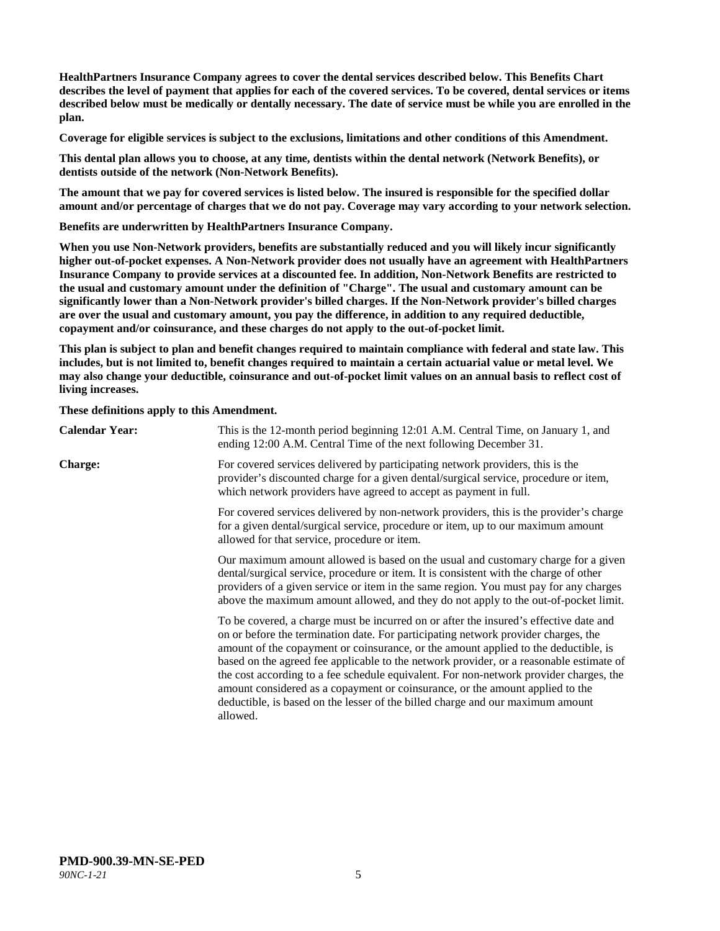**HealthPartners Insurance Company agrees to cover the dental services described below. This Benefits Chart describes the level of payment that applies for each of the covered services. To be covered, dental services or items described below must be medically or dentally necessary. The date of service must be while you are enrolled in the plan.**

**Coverage for eligible services is subject to the exclusions, limitations and other conditions of this Amendment.**

**This dental plan allows you to choose, at any time, dentists within the dental network (Network Benefits), or dentists outside of the network (Non-Network Benefits).**

**The amount that we pay for covered services is listed below. The insured is responsible for the specified dollar amount and/or percentage of charges that we do not pay. Coverage may vary according to your network selection.**

**Benefits are underwritten by HealthPartners Insurance Company.**

**When you use Non-Network providers, benefits are substantially reduced and you will likely incur significantly higher out-of-pocket expenses. A Non-Network provider does not usually have an agreement with HealthPartners Insurance Company to provide services at a discounted fee. In addition, Non-Network Benefits are restricted to the usual and customary amount under the definition of "Charge". The usual and customary amount can be significantly lower than a Non-Network provider's billed charges. If the Non-Network provider's billed charges are over the usual and customary amount, you pay the difference, in addition to any required deductible, copayment and/or coinsurance, and these charges do not apply to the out-of-pocket limit.**

**This plan is subject to plan and benefit changes required to maintain compliance with federal and state law. This includes, but is not limited to, benefit changes required to maintain a certain actuarial value or metal level. We may also change your deductible, coinsurance and out-of-pocket limit values on an annual basis to reflect cost of living increases.**

**These definitions apply to this Amendment.**

| <b>Calendar Year:</b> | This is the 12-month period beginning 12:01 A.M. Central Time, on January 1, and<br>ending 12:00 A.M. Central Time of the next following December 31.                                                                                                                                                                                                                                                                                                                                                                                                                                                                                  |
|-----------------------|----------------------------------------------------------------------------------------------------------------------------------------------------------------------------------------------------------------------------------------------------------------------------------------------------------------------------------------------------------------------------------------------------------------------------------------------------------------------------------------------------------------------------------------------------------------------------------------------------------------------------------------|
| <b>Charge:</b>        | For covered services delivered by participating network providers, this is the<br>provider's discounted charge for a given dental/surgical service, procedure or item,<br>which network providers have agreed to accept as payment in full.                                                                                                                                                                                                                                                                                                                                                                                            |
|                       | For covered services delivered by non-network providers, this is the provider's charge<br>for a given dental/surgical service, procedure or item, up to our maximum amount<br>allowed for that service, procedure or item.                                                                                                                                                                                                                                                                                                                                                                                                             |
|                       | Our maximum amount allowed is based on the usual and customary charge for a given<br>dental/surgical service, procedure or item. It is consistent with the charge of other<br>providers of a given service or item in the same region. You must pay for any charges<br>above the maximum amount allowed, and they do not apply to the out-of-pocket limit.                                                                                                                                                                                                                                                                             |
|                       | To be covered, a charge must be incurred on or after the insured's effective date and<br>on or before the termination date. For participating network provider charges, the<br>amount of the copayment or coinsurance, or the amount applied to the deductible, is<br>based on the agreed fee applicable to the network provider, or a reasonable estimate of<br>the cost according to a fee schedule equivalent. For non-network provider charges, the<br>amount considered as a copayment or coinsurance, or the amount applied to the<br>deductible, is based on the lesser of the billed charge and our maximum amount<br>allowed. |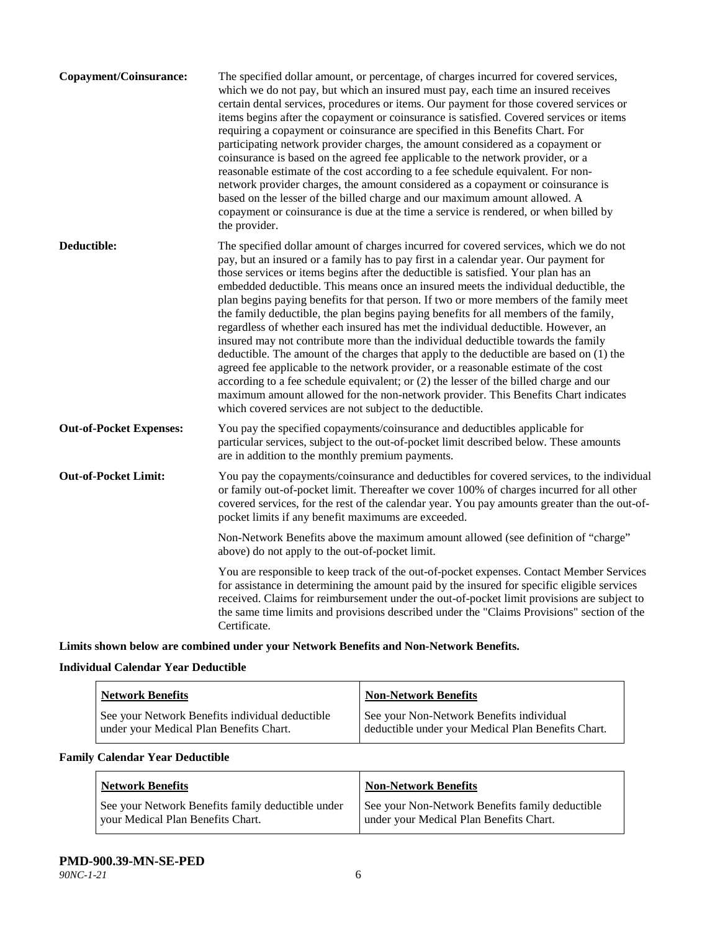| Copayment/Coinsurance:         | The specified dollar amount, or percentage, of charges incurred for covered services,<br>which we do not pay, but which an insured must pay, each time an insured receives<br>certain dental services, procedures or items. Our payment for those covered services or<br>items begins after the copayment or coinsurance is satisfied. Covered services or items<br>requiring a copayment or coinsurance are specified in this Benefits Chart. For<br>participating network provider charges, the amount considered as a copayment or<br>coinsurance is based on the agreed fee applicable to the network provider, or a<br>reasonable estimate of the cost according to a fee schedule equivalent. For non-<br>network provider charges, the amount considered as a copayment or coinsurance is<br>based on the lesser of the billed charge and our maximum amount allowed. A<br>copayment or coinsurance is due at the time a service is rendered, or when billed by<br>the provider.                                                                                                                                                                 |
|--------------------------------|---------------------------------------------------------------------------------------------------------------------------------------------------------------------------------------------------------------------------------------------------------------------------------------------------------------------------------------------------------------------------------------------------------------------------------------------------------------------------------------------------------------------------------------------------------------------------------------------------------------------------------------------------------------------------------------------------------------------------------------------------------------------------------------------------------------------------------------------------------------------------------------------------------------------------------------------------------------------------------------------------------------------------------------------------------------------------------------------------------------------------------------------------------|
| Deductible:                    | The specified dollar amount of charges incurred for covered services, which we do not<br>pay, but an insured or a family has to pay first in a calendar year. Our payment for<br>those services or items begins after the deductible is satisfied. Your plan has an<br>embedded deductible. This means once an insured meets the individual deductible, the<br>plan begins paying benefits for that person. If two or more members of the family meet<br>the family deductible, the plan begins paying benefits for all members of the family,<br>regardless of whether each insured has met the individual deductible. However, an<br>insured may not contribute more than the individual deductible towards the family<br>deductible. The amount of the charges that apply to the deductible are based on (1) the<br>agreed fee applicable to the network provider, or a reasonable estimate of the cost<br>according to a fee schedule equivalent; or (2) the lesser of the billed charge and our<br>maximum amount allowed for the non-network provider. This Benefits Chart indicates<br>which covered services are not subject to the deductible. |
| <b>Out-of-Pocket Expenses:</b> | You pay the specified copayments/coinsurance and deductibles applicable for<br>particular services, subject to the out-of-pocket limit described below. These amounts<br>are in addition to the monthly premium payments.                                                                                                                                                                                                                                                                                                                                                                                                                                                                                                                                                                                                                                                                                                                                                                                                                                                                                                                               |
| <b>Out-of-Pocket Limit:</b>    | You pay the copayments/coinsurance and deductibles for covered services, to the individual<br>or family out-of-pocket limit. Thereafter we cover 100% of charges incurred for all other<br>covered services, for the rest of the calendar year. You pay amounts greater than the out-of-<br>pocket limits if any benefit maximums are exceeded.                                                                                                                                                                                                                                                                                                                                                                                                                                                                                                                                                                                                                                                                                                                                                                                                         |
|                                | Non-Network Benefits above the maximum amount allowed (see definition of "charge"<br>above) do not apply to the out-of-pocket limit.                                                                                                                                                                                                                                                                                                                                                                                                                                                                                                                                                                                                                                                                                                                                                                                                                                                                                                                                                                                                                    |
|                                | You are responsible to keep track of the out-of-pocket expenses. Contact Member Services<br>for assistance in determining the amount paid by the insured for specific eligible services<br>received. Claims for reimbursement under the out-of-pocket limit provisions are subject to<br>the same time limits and provisions described under the "Claims Provisions" section of the<br>Certificate.                                                                                                                                                                                                                                                                                                                                                                                                                                                                                                                                                                                                                                                                                                                                                     |

**Limits shown below are combined under your Network Benefits and Non-Network Benefits.**

# **Individual Calendar Year Deductible**

| <b>Network Benefits</b>                         | <b>Non-Network Benefits</b>                        |
|-------------------------------------------------|----------------------------------------------------|
| See your Network Benefits individual deductible | See your Non-Network Benefits individual           |
| under your Medical Plan Benefits Chart.         | deductible under your Medical Plan Benefits Chart. |

# **Family Calendar Year Deductible**

| <b>Network Benefits</b>                           | <b>Non-Network Benefits</b>                     |
|---------------------------------------------------|-------------------------------------------------|
| See your Network Benefits family deductible under | See your Non-Network Benefits family deductible |
| vour Medical Plan Benefits Chart.                 | under your Medical Plan Benefits Chart.         |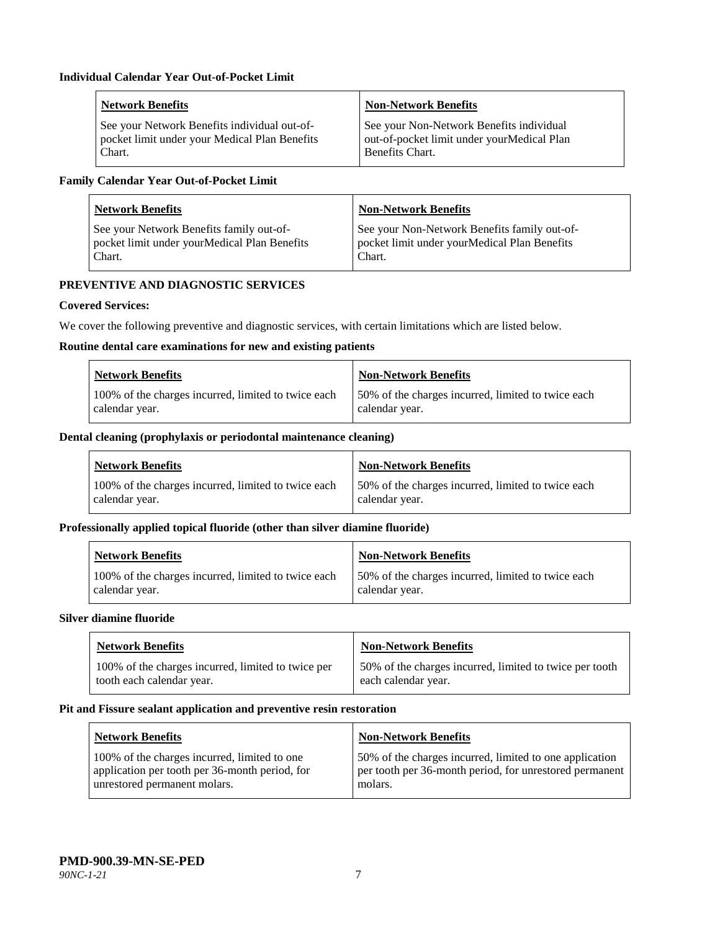| <b>Network Benefits</b>                       | <b>Non-Network Benefits</b>                |
|-----------------------------------------------|--------------------------------------------|
| See your Network Benefits individual out-of-  | See your Non-Network Benefits individual   |
| pocket limit under your Medical Plan Benefits | out-of-pocket limit under yourMedical Plan |
| Chart.                                        | Benefits Chart.                            |

# **Family Calendar Year Out-of-Pocket Limit**

| <b>Network Benefits</b>                      | <b>Non-Network Benefits</b>                  |
|----------------------------------------------|----------------------------------------------|
| See your Network Benefits family out-of-     | See your Non-Network Benefits family out-of- |
| pocket limit under yourMedical Plan Benefits | pocket limit under yourMedical Plan Benefits |
| Chart.                                       | Chart.                                       |

# **PREVENTIVE AND DIAGNOSTIC SERVICES**

# **Covered Services:**

We cover the following preventive and diagnostic services, with certain limitations which are listed below.

#### **Routine dental care examinations for new and existing patients**

| <b>Network Benefits</b>                             | <b>Non-Network Benefits</b>                        |
|-----------------------------------------------------|----------------------------------------------------|
| 100% of the charges incurred, limited to twice each | 50% of the charges incurred, limited to twice each |
| calendar year.                                      | calendar year.                                     |

## **Dental cleaning (prophylaxis or periodontal maintenance cleaning)**

| Network Benefits                                    | <b>Non-Network Benefits</b>                        |
|-----------------------------------------------------|----------------------------------------------------|
| 100% of the charges incurred, limited to twice each | 50% of the charges incurred, limited to twice each |
| calendar year.                                      | calendar year.                                     |

#### **Professionally applied topical fluoride (other than silver diamine fluoride)**

| <b>Network Benefits</b>                             | Non-Network Benefits                               |
|-----------------------------------------------------|----------------------------------------------------|
| 100% of the charges incurred, limited to twice each | 50% of the charges incurred, limited to twice each |
| calendar year.                                      | calendar year.                                     |

#### **Silver diamine fluoride**

| <b>Network Benefits</b>                            | <b>Non-Network Benefits</b>                             |
|----------------------------------------------------|---------------------------------------------------------|
| 100% of the charges incurred, limited to twice per | 50% of the charges incurred, limited to twice per tooth |
| tooth each calendar year.                          | each calendar year.                                     |

#### **Pit and Fissure sealant application and preventive resin restoration**

| <b>Network Benefits</b>                                                                                                        | <b>Non-Network Benefits</b>                                                                                                   |
|--------------------------------------------------------------------------------------------------------------------------------|-------------------------------------------------------------------------------------------------------------------------------|
| 100% of the charges incurred, limited to one<br>application per tooth per 36-month period, for<br>unrestored permanent molars. | 50% of the charges incurred, limited to one application<br>per tooth per 36-month period, for unrestored permanent<br>molars. |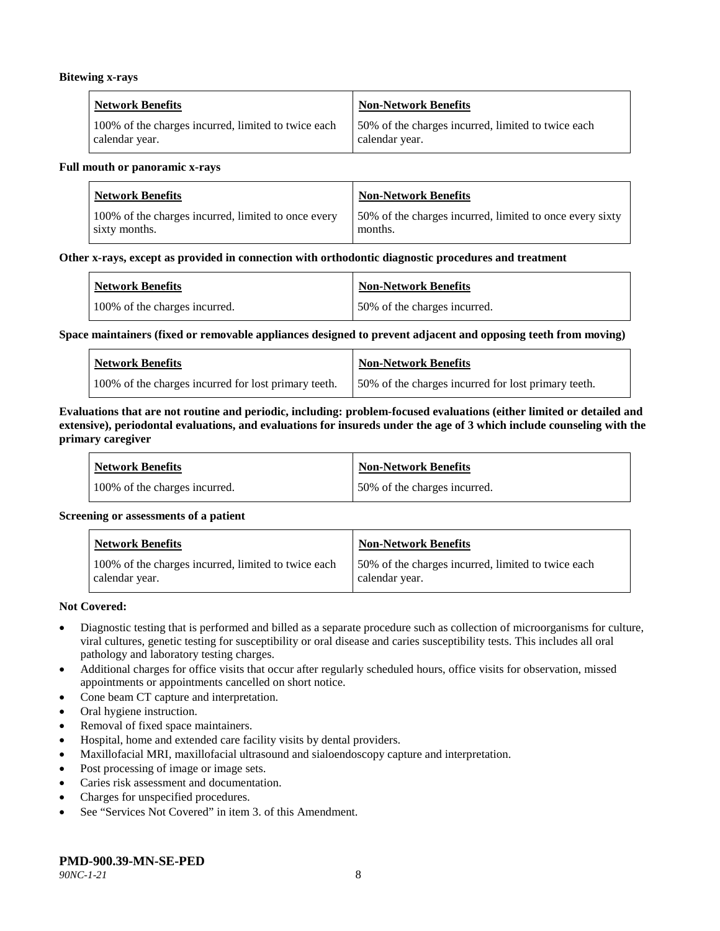#### **Bitewing x-rays**

| <b>Network Benefits</b>                             | Non-Network Benefits                               |
|-----------------------------------------------------|----------------------------------------------------|
| 100% of the charges incurred, limited to twice each | 50% of the charges incurred, limited to twice each |
| calendar year.                                      | calendar year.                                     |

#### **Full mouth or panoramic x-rays**

| <b>Network Benefits</b>                             | <b>Non-Network Benefits</b>                              |
|-----------------------------------------------------|----------------------------------------------------------|
| 100% of the charges incurred, limited to once every | 50% of the charges incurred, limited to once every sixty |
| sixty months.                                       | months.                                                  |

#### **Other x-rays, except as provided in connection with orthodontic diagnostic procedures and treatment**

| <b>Network Benefits</b>       | <b>Non-Network Benefits</b>  |
|-------------------------------|------------------------------|
| 100% of the charges incurred. | 50% of the charges incurred. |

#### **Space maintainers (fixed or removable appliances designed to prevent adjacent and opposing teeth from moving)**

| <b>Network Benefits</b>                              | <b>Non-Network Benefits</b>                         |
|------------------------------------------------------|-----------------------------------------------------|
| 100% of the charges incurred for lost primary teeth. | 50% of the charges incurred for lost primary teeth. |

#### **Evaluations that are not routine and periodic, including: problem-focused evaluations (either limited or detailed and extensive), periodontal evaluations, and evaluations for insureds under the age of 3 which include counseling with the primary caregiver**

| <b>Network Benefits</b>       | <b>Non-Network Benefits</b>  |
|-------------------------------|------------------------------|
| 100% of the charges incurred. | 50% of the charges incurred. |

#### **Screening or assessments of a patient**

| <b>Network Benefits</b>                                               | Non-Network Benefits                                                  |
|-----------------------------------------------------------------------|-----------------------------------------------------------------------|
| 100% of the charges incurred, limited to twice each<br>calendar year. | 150% of the charges incurred, limited to twice each<br>calendar year. |

#### **Not Covered:**

- Diagnostic testing that is performed and billed as a separate procedure such as collection of microorganisms for culture, viral cultures, genetic testing for susceptibility or oral disease and caries susceptibility tests. This includes all oral pathology and laboratory testing charges.
- Additional charges for office visits that occur after regularly scheduled hours, office visits for observation, missed appointments or appointments cancelled on short notice.
- Cone beam CT capture and interpretation.
- Oral hygiene instruction.
- Removal of fixed space maintainers.
- Hospital, home and extended care facility visits by dental providers.
- Maxillofacial MRI, maxillofacial ultrasound and sialoendoscopy capture and interpretation.
- Post processing of image or image sets.
- Caries risk assessment and documentation.
- Charges for unspecified procedures.
- See "Services Not Covered" in item 3. of this Amendment.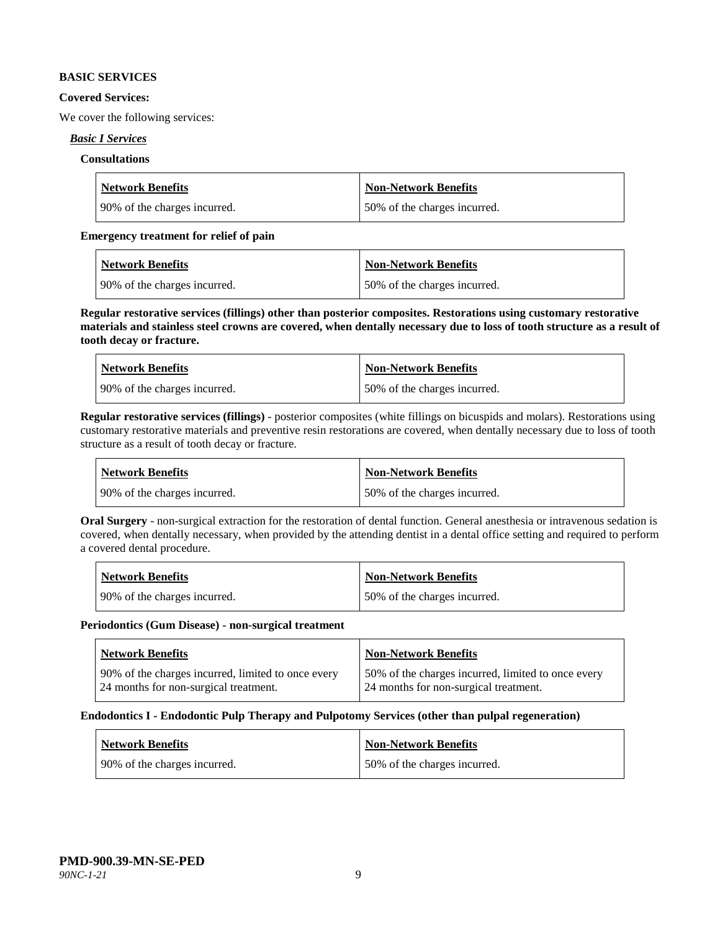#### **BASIC SERVICES**

#### **Covered Services:**

We cover the following services:

## *Basic I Services*

### **Consultations**

| <b>Network Benefits</b>      | <b>Non-Network Benefits</b>  |
|------------------------------|------------------------------|
| 90% of the charges incurred. | 50% of the charges incurred. |

### **Emergency treatment for relief of pain**

| <b>Network Benefits</b>      | <b>Non-Network Benefits</b>  |
|------------------------------|------------------------------|
| 90% of the charges incurred. | 50% of the charges incurred. |

**Regular restorative services (fillings) other than posterior composites. Restorations using customary restorative materials and stainless steel crowns are covered, when dentally necessary due to loss of tooth structure as a result of tooth decay or fracture.**

| <b>Network Benefits</b>        | <b>Non-Network Benefits</b>  |
|--------------------------------|------------------------------|
| 1 90% of the charges incurred. | 50% of the charges incurred. |

**Regular restorative services (fillings)** - posterior composites (white fillings on bicuspids and molars). Restorations using customary restorative materials and preventive resin restorations are covered, when dentally necessary due to loss of tooth structure as a result of tooth decay or fracture.

| <b>Network Benefits</b>        | <b>Non-Network Benefits</b>  |
|--------------------------------|------------------------------|
| 1.90% of the charges incurred. | 50% of the charges incurred. |

**Oral Surgery** - non-surgical extraction for the restoration of dental function. General anesthesia or intravenous sedation is covered, when dentally necessary, when provided by the attending dentist in a dental office setting and required to perform a covered dental procedure.

| Network Benefits              | <b>Non-Network Benefits</b>  |
|-------------------------------|------------------------------|
| 190% of the charges incurred. | 50% of the charges incurred. |

#### **Periodontics (Gum Disease) - non-surgical treatment**

| <b>Network Benefits</b>                            | <b>Non-Network Benefits</b>                        |
|----------------------------------------------------|----------------------------------------------------|
| 90% of the charges incurred, limited to once every | 50% of the charges incurred, limited to once every |
| 24 months for non-surgical treatment.              | 24 months for non-surgical treatment.              |

#### **Endodontics I - Endodontic Pulp Therapy and Pulpotomy Services (other than pulpal regeneration)**

| <b>Network Benefits</b>      | Non-Network Benefits         |
|------------------------------|------------------------------|
| 90% of the charges incurred. | 50% of the charges incurred. |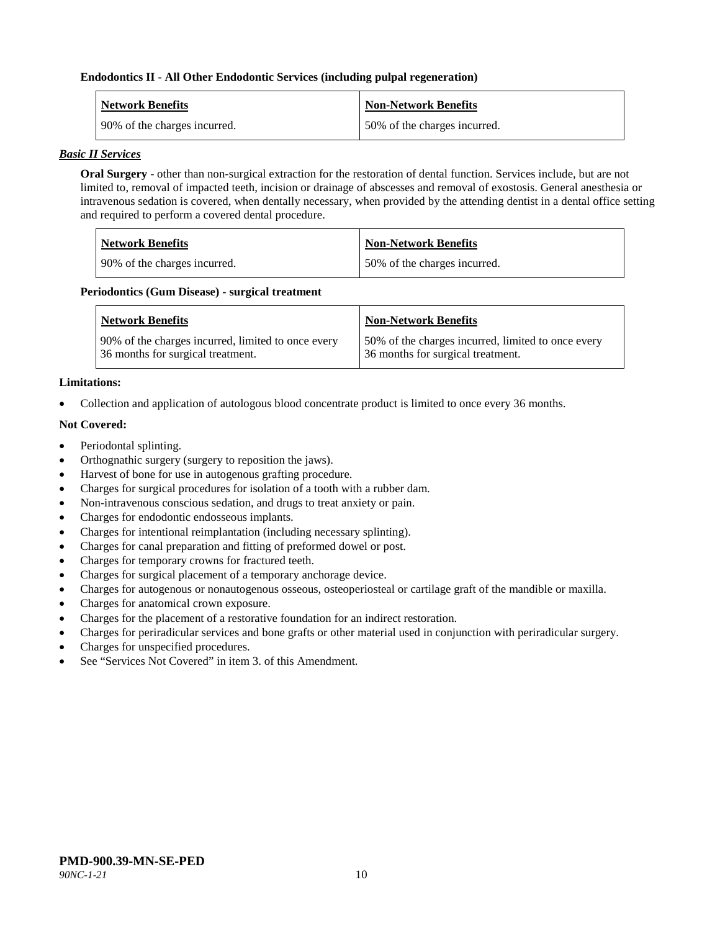#### **Endodontics II - All Other Endodontic Services (including pulpal regeneration)**

| <b>Network Benefits</b>      | <b>Non-Network Benefits</b>  |
|------------------------------|------------------------------|
| 90% of the charges incurred. | 50% of the charges incurred. |

#### *Basic II Services*

**Oral Surgery** - other than non-surgical extraction for the restoration of dental function. Services include, but are not limited to, removal of impacted teeth, incision or drainage of abscesses and removal of exostosis. General anesthesia or intravenous sedation is covered, when dentally necessary, when provided by the attending dentist in a dental office setting and required to perform a covered dental procedure.

| <b>Network Benefits</b>      | <b>Non-Network Benefits</b>  |
|------------------------------|------------------------------|
| 90% of the charges incurred. | 50% of the charges incurred. |

#### **Periodontics (Gum Disease) - surgical treatment**

| <b>Network Benefits</b>                            | <b>Non-Network Benefits</b>                        |
|----------------------------------------------------|----------------------------------------------------|
| 90% of the charges incurred, limited to once every | 50% of the charges incurred, limited to once every |
| 36 months for surgical treatment.                  | 36 months for surgical treatment.                  |

## **Limitations:**

• Collection and application of autologous blood concentrate product is limited to once every 36 months.

## **Not Covered:**

- Periodontal splinting.
- Orthognathic surgery (surgery to reposition the jaws).
- Harvest of bone for use in autogenous grafting procedure.
- Charges for surgical procedures for isolation of a tooth with a rubber dam.
- Non-intravenous conscious sedation, and drugs to treat anxiety or pain.
- Charges for endodontic endosseous implants.
- Charges for intentional reimplantation (including necessary splinting).
- Charges for canal preparation and fitting of preformed dowel or post.
- Charges for temporary crowns for fractured teeth.
- Charges for surgical placement of a temporary anchorage device.
- Charges for autogenous or nonautogenous osseous, osteoperiosteal or cartilage graft of the mandible or maxilla.
- Charges for anatomical crown exposure.
- Charges for the placement of a restorative foundation for an indirect restoration.
- Charges for periradicular services and bone grafts or other material used in conjunction with periradicular surgery.
- Charges for unspecified procedures.
- See "Services Not Covered" in item 3, of this Amendment.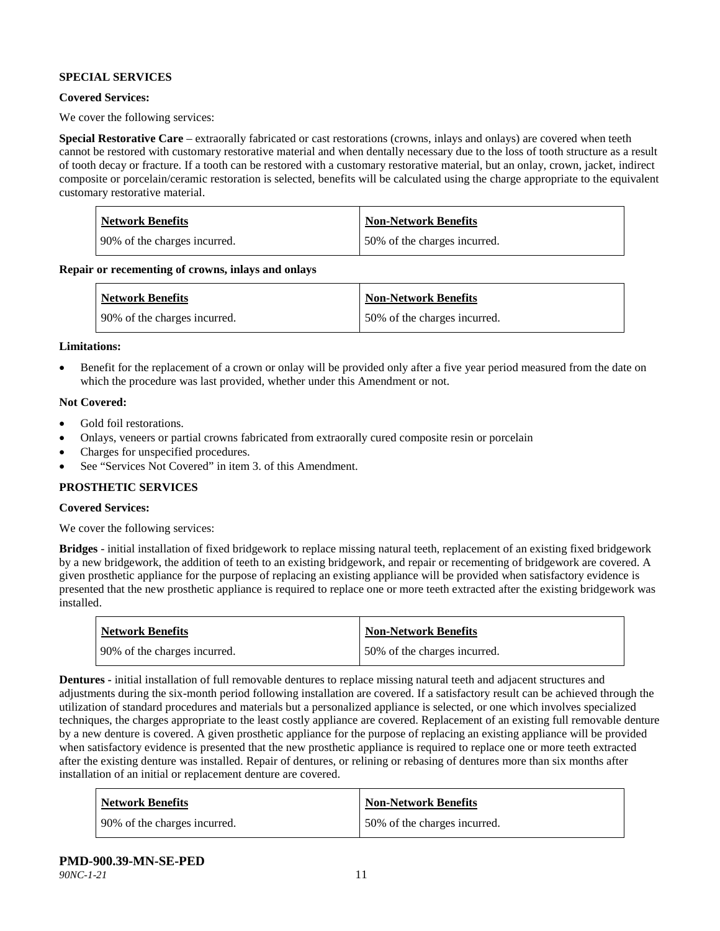## **SPECIAL SERVICES**

#### **Covered Services:**

We cover the following services:

**Special Restorative Care** – extraorally fabricated or cast restorations (crowns, inlays and onlays) are covered when teeth cannot be restored with customary restorative material and when dentally necessary due to the loss of tooth structure as a result of tooth decay or fracture. If a tooth can be restored with a customary restorative material, but an onlay, crown, jacket, indirect composite or porcelain/ceramic restoration is selected, benefits will be calculated using the charge appropriate to the equivalent customary restorative material.

| Network Benefits             | <b>Non-Network Benefits</b>  |
|------------------------------|------------------------------|
| 90% of the charges incurred. | 50% of the charges incurred. |

**Repair or recementing of crowns, inlays and onlays**

| <b>Network Benefits</b>      | <b>Non-Network Benefits</b>   |
|------------------------------|-------------------------------|
| 90% of the charges incurred. | 150% of the charges incurred. |

#### **Limitations:**

• Benefit for the replacement of a crown or onlay will be provided only after a five year period measured from the date on which the procedure was last provided, whether under this Amendment or not.

#### **Not Covered:**

- Gold foil restorations.
- Onlays, veneers or partial crowns fabricated from extraorally cured composite resin or porcelain
- Charges for unspecified procedures.
- See "Services Not Covered" in item 3. of this Amendment.

#### **PROSTHETIC SERVICES**

## **Covered Services:**

We cover the following services:

**Bridges** - initial installation of fixed bridgework to replace missing natural teeth, replacement of an existing fixed bridgework by a new bridgework, the addition of teeth to an existing bridgework, and repair or recementing of bridgework are covered. A given prosthetic appliance for the purpose of replacing an existing appliance will be provided when satisfactory evidence is presented that the new prosthetic appliance is required to replace one or more teeth extracted after the existing bridgework was installed.

| <b>Network Benefits</b>      | <b>Non-Network Benefits</b>   |
|------------------------------|-------------------------------|
| 90% of the charges incurred. | 150% of the charges incurred. |

**Dentures -** initial installation of full removable dentures to replace missing natural teeth and adjacent structures and adjustments during the six-month period following installation are covered. If a satisfactory result can be achieved through the utilization of standard procedures and materials but a personalized appliance is selected, or one which involves specialized techniques, the charges appropriate to the least costly appliance are covered. Replacement of an existing full removable denture by a new denture is covered. A given prosthetic appliance for the purpose of replacing an existing appliance will be provided when satisfactory evidence is presented that the new prosthetic appliance is required to replace one or more teeth extracted after the existing denture was installed. Repair of dentures, or relining or rebasing of dentures more than six months after installation of an initial or replacement denture are covered.

| <b>Network Benefits</b>      | <b>Non-Network Benefits</b>  |
|------------------------------|------------------------------|
| 90% of the charges incurred. | 50% of the charges incurred. |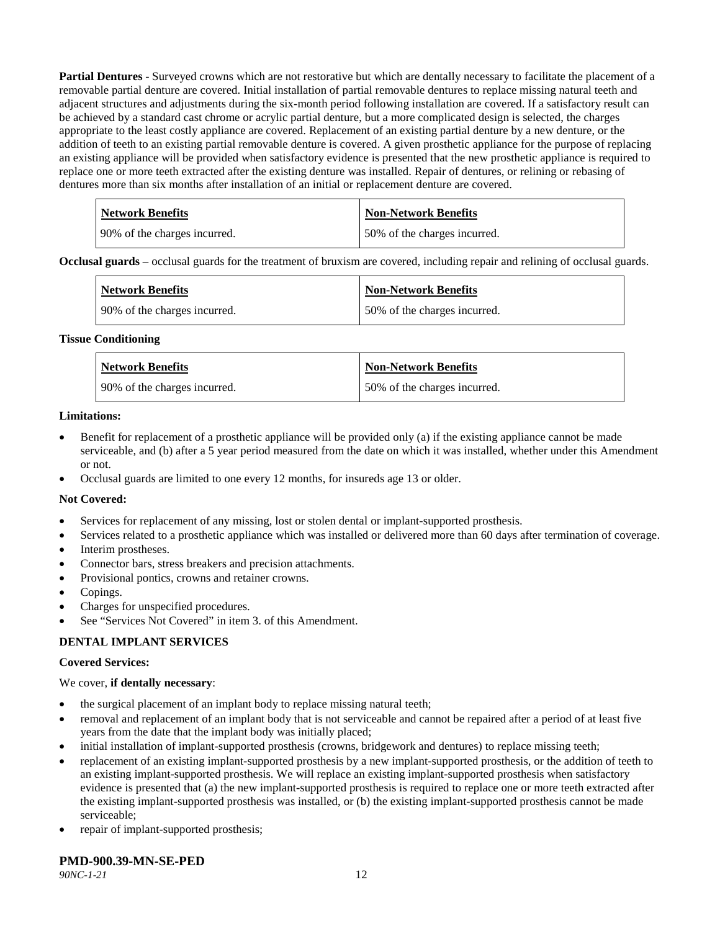**Partial Dentures** - Surveyed crowns which are not restorative but which are dentally necessary to facilitate the placement of a removable partial denture are covered. Initial installation of partial removable dentures to replace missing natural teeth and adjacent structures and adjustments during the six-month period following installation are covered. If a satisfactory result can be achieved by a standard cast chrome or acrylic partial denture, but a more complicated design is selected, the charges appropriate to the least costly appliance are covered. Replacement of an existing partial denture by a new denture, or the addition of teeth to an existing partial removable denture is covered. A given prosthetic appliance for the purpose of replacing an existing appliance will be provided when satisfactory evidence is presented that the new prosthetic appliance is required to replace one or more teeth extracted after the existing denture was installed. Repair of dentures, or relining or rebasing of dentures more than six months after installation of an initial or replacement denture are covered.

| <b>Network Benefits</b>       | <b>Non-Network Benefits</b>  |
|-------------------------------|------------------------------|
| 190% of the charges incurred. | 50% of the charges incurred. |

**Occlusal guards** – occlusal guards for the treatment of bruxism are covered, including repair and relining of occlusal guards.

| <b>Network Benefits</b>      | <b>Non-Network Benefits</b>  |
|------------------------------|------------------------------|
| 90% of the charges incurred. | 50% of the charges incurred. |

#### **Tissue Conditioning**

| <b>Network Benefits</b>      | Non-Network Benefits         |
|------------------------------|------------------------------|
| 90% of the charges incurred. | 50% of the charges incurred. |

#### **Limitations:**

- Benefit for replacement of a prosthetic appliance will be provided only (a) if the existing appliance cannot be made serviceable, and (b) after a 5 year period measured from the date on which it was installed, whether under this Amendment or not.
- Occlusal guards are limited to one every 12 months, for insureds age 13 or older.

#### **Not Covered:**

- Services for replacement of any missing, lost or stolen dental or implant-supported prosthesis.
- Services related to a prosthetic appliance which was installed or delivered more than 60 days after termination of coverage.
- Interim prostheses.
- Connector bars, stress breakers and precision attachments.
- Provisional pontics, crowns and retainer crowns.
- Copings.
- Charges for unspecified procedures.
- See "Services Not Covered" in item 3. of this Amendment.

#### **DENTAL IMPLANT SERVICES**

#### **Covered Services:**

#### We cover, **if dentally necessary**:

- the surgical placement of an implant body to replace missing natural teeth;
- removal and replacement of an implant body that is not serviceable and cannot be repaired after a period of at least five years from the date that the implant body was initially placed;
- initial installation of implant-supported prosthesis (crowns, bridgework and dentures) to replace missing teeth;
- replacement of an existing implant-supported prosthesis by a new implant-supported prosthesis, or the addition of teeth to an existing implant-supported prosthesis. We will replace an existing implant-supported prosthesis when satisfactory evidence is presented that (a) the new implant-supported prosthesis is required to replace one or more teeth extracted after the existing implant-supported prosthesis was installed, or (b) the existing implant-supported prosthesis cannot be made serviceable;
- repair of implant-supported prosthesis;

# **PMD-900.39-MN-SE-PED**

*90NC-1-21* 12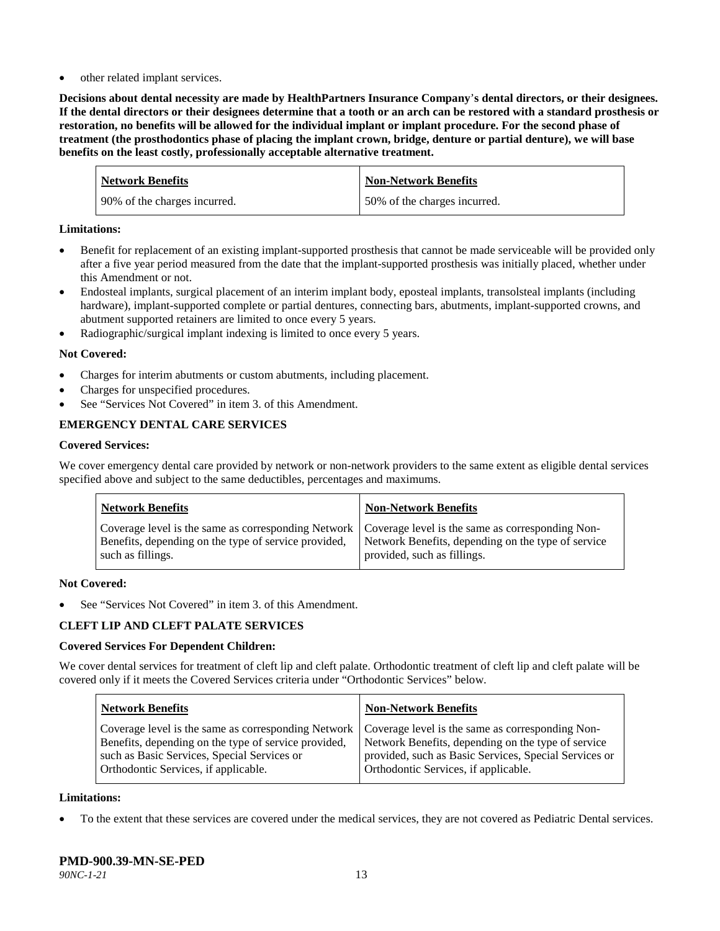other related implant services.

**Decisions about dental necessity are made by HealthPartners Insurance Company**'**s dental directors, or their designees. If the dental directors or their designees determine that a tooth or an arch can be restored with a standard prosthesis or restoration, no benefits will be allowed for the individual implant or implant procedure. For the second phase of treatment (the prosthodontics phase of placing the implant crown, bridge, denture or partial denture), we will base benefits on the least costly, professionally acceptable alternative treatment.**

| <b>Network Benefits</b>      | <b>Non-Network Benefits</b>  |
|------------------------------|------------------------------|
| 90% of the charges incurred. | 50% of the charges incurred. |

### **Limitations:**

- Benefit for replacement of an existing implant-supported prosthesis that cannot be made serviceable will be provided only after a five year period measured from the date that the implant-supported prosthesis was initially placed, whether under this Amendment or not.
- Endosteal implants, surgical placement of an interim implant body, eposteal implants, transolsteal implants (including hardware), implant-supported complete or partial dentures, connecting bars, abutments, implant-supported crowns, and abutment supported retainers are limited to once every 5 years.
- Radiographic/surgical implant indexing is limited to once every 5 years.

## **Not Covered:**

- Charges for interim abutments or custom abutments, including placement.
- Charges for unspecified procedures.
- See "Services Not Covered" in item 3. of this Amendment.

# **EMERGENCY DENTAL CARE SERVICES**

#### **Covered Services:**

We cover emergency dental care provided by network or non-network providers to the same extent as eligible dental services specified above and subject to the same deductibles, percentages and maximums.

| <b>Network Benefits</b>                                                                                                                                                             | <b>Non-Network Benefits</b>                                                       |
|-------------------------------------------------------------------------------------------------------------------------------------------------------------------------------------|-----------------------------------------------------------------------------------|
| Coverage level is the same as corresponding Network   Coverage level is the same as corresponding Non-<br>Benefits, depending on the type of service provided,<br>such as fillings. | Network Benefits, depending on the type of service<br>provided, such as fillings. |

#### **Not Covered:**

See "Services Not Covered" in item 3. of this Amendment.

# **CLEFT LIP AND CLEFT PALATE SERVICES**

# **Covered Services For Dependent Children:**

We cover dental services for treatment of cleft lip and cleft palate. Orthodontic treatment of cleft lip and cleft palate will be covered only if it meets the Covered Services criteria under "Orthodontic Services" below.

| <b>Network Benefits</b>                              | <b>Non-Network Benefits</b>                           |
|------------------------------------------------------|-------------------------------------------------------|
| Coverage level is the same as corresponding Network  | Coverage level is the same as corresponding Non-      |
| Benefits, depending on the type of service provided, | Network Benefits, depending on the type of service    |
| such as Basic Services, Special Services or          | provided, such as Basic Services, Special Services or |
| Orthodontic Services, if applicable.                 | Orthodontic Services, if applicable.                  |

#### **Limitations:**

• To the extent that these services are covered under the medical services, they are not covered as Pediatric Dental services.